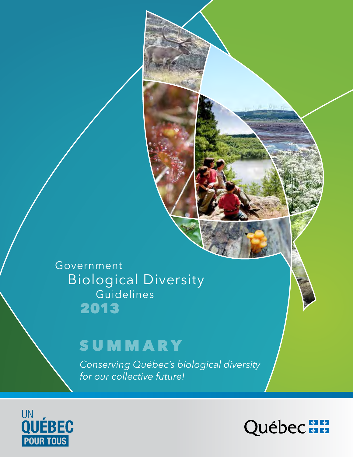Government Guidelines Biological Diversity 2013

# **SUMMARY**

*Conserving Québec's biological diversity for our collective future!*



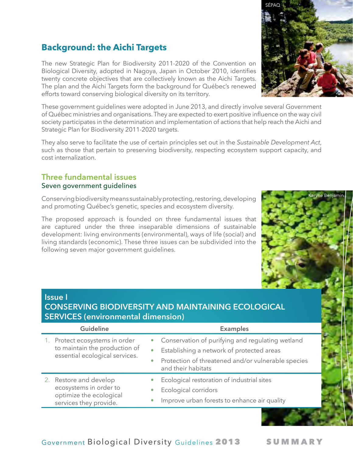### Government Biological Diversity Guidelines 2013 SUMMARY

These government guidelines were adopted in June 2013, and directly involve several Government of Québec ministries and organisations. They are expected to exert positive influence on the way civil society participates in the determination and implementation of actions that help reach the Aichi and Strategic Plan for Biodiversity 2011-2020 targets.

They also serve to facilitate the use of certain principles set out in the *Sustainable Development Act*, such as those that pertain to preserving biodiversity, respecting ecosystem support capacity, and cost internalization.

#### **Three fundamental issues** Seven government guidelines

Conserving biodiversity means sustainably protecting, restoring, developing and promoting Québec's genetic, species and ecosystem diversity.

The proposed approach is founded on three fundamental issues that are captured under the three inseparable dimensions of sustainable development: living environments (environmental), ways of life (social) and living standards (economic). These three issues can be subdivided into the following seven major government guidelines.

#### **Issue I CONSERVING BIODIVERSITY AND MAINTAINING ECOLOGICAL SERVICES (environmental dimension)**

| Guideline                                                                                             | <b>Examples</b>                                                                                                                                                                                     |
|-------------------------------------------------------------------------------------------------------|-----------------------------------------------------------------------------------------------------------------------------------------------------------------------------------------------------|
| Protect ecosystems in order<br>to maintain the production of<br>essential ecological services.        | Conservation of purifying and regulating wetland<br>$\bullet$<br>Establishing a network of protected areas<br>Protection of threatened and/or vulnerable species<br>$\bullet$<br>and their habitats |
| 2. Restore and develop<br>ecosystems in order to<br>optimize the ecological<br>services they provide. | Ecological restoration of industrial sites<br>Ecological corridors<br>$\bullet$<br>Improve urban forests to enhance air quality                                                                     |
|                                                                                                       |                                                                                                                                                                                                     |

# **Background: the Aichi Targets**

The new Strategic Plan for Biodiversity 2011-2020 of the Convention on Biological Diversity, adopted in Nagoya, Japan in October 2010, identifies twenty concrete objectives that are collectively known as the Aichi Targets. The plan and the Aichi Targets form the background for Québec's renewed efforts toward conserving biological diversity on its territory.



Karyne Benjamin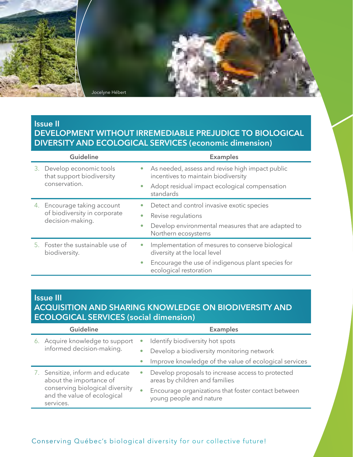

Jocelyne Hébert



#### **Issue II DEVELOPMENT WITHOUT IRREMEDIABLE PREJUDICE TO BIOLOGICAL DIVERSITY AND ECOLOGICAL SERVICES (economic dimension)**

| Guideline                                                                       |                                     | <b>Examples</b>                                                                                                                                                 |
|---------------------------------------------------------------------------------|-------------------------------------|-----------------------------------------------------------------------------------------------------------------------------------------------------------------|
| 3. Develop economic tools<br>that support biodiversity<br>conservation.         | $\bullet$<br>$\bullet$              | As needed, assess and revise high impact public<br>incentives to maintain biodiversity<br>Adopt residual impact ecological compensation<br>standards            |
| 4. Encourage taking account<br>of biodiversity in corporate<br>decision-making. | $\bullet$<br>$\bullet$<br>$\bullet$ | Detect and control invasive exotic species<br>Revise regulations<br>Develop environmental measures that are adapted to<br>Northern ecosystems                   |
| 5. Foster the sustainable use of<br>biodiversity.                               | $\bullet$                           | Implementation of mesures to conserve biological<br>diversity at the local level<br>Encourage the use of indigenous plant species for<br>ecological restoration |

### **Issue III ACQUISITION AND SHARING KNOWLEDGE ON BIODIVERSITY AND ECOLOGICAL SERVICES (social dimension)**

| Guideline                                                                                                                                  |                        | <b>Examples</b>                                                                                                                                                       |
|--------------------------------------------------------------------------------------------------------------------------------------------|------------------------|-----------------------------------------------------------------------------------------------------------------------------------------------------------------------|
| 6. Acquire knowledge to support<br>informed decision-making.                                                                               | $\bullet$              | Identify biodiversity hot spots                                                                                                                                       |
|                                                                                                                                            | $\bullet$              | Develop a biodiversity monitoring network                                                                                                                             |
|                                                                                                                                            | $\bullet$              | Improve knowledge of the value of ecological services                                                                                                                 |
| 7. Sensitize, inform and educate<br>about the importance of<br>conserving biological diversity<br>and the value of ecological<br>services. | $\bullet$<br>$\bullet$ | Develop proposals to increase access to protected<br>areas by children and families<br>Encourage organizations that foster contact between<br>young people and nature |

#### Conserving Québec's biological diversity for our collective future!